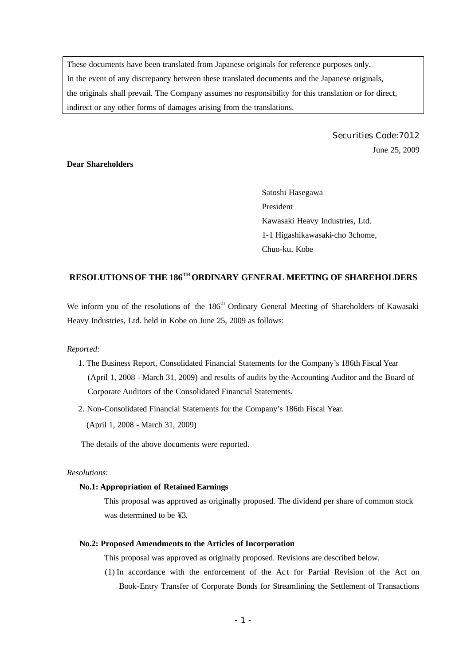These documents have been translated from Japanese originals for reference purposes only. In the event of any discrepancy between these translated documents and the Japanese originals, the originals shall prevail. The Company assumes no responsibility for this translation or for direct, indirect or any other forms of damages arising from the translations.

> Securities Code:7012 June 25, 2009

# **Dear Shareholders**

Satoshi Hasegawa President Kawasaki Heavy Industries, Ltd. 1-1 Higashikawasaki-cho 3chome, Chuo-ku, Kobe

# **RESOLUTIONS OF THE 186TH ORDINARY GENERAL MEETING OF SHAREHOLDERS**

We inform you of the resolutions of the 186<sup>th</sup> Ordinary General Meeting of Shareholders of Kawasaki Heavy Industries, Ltd. held in Kobe on June 25, 2009 as follows:

### *Reported:*

- 1. The Business Report, Consolidated Financial Statements for the Company's 186th Fiscal Year (April 1, 2008 - March 31, 2009) and results of audits by the Accounting Auditor and the Board of Corporate Auditors of the Consolidated Financial Statements.
- 2. Non-Consolidated Financial Statements for the Company's 186th Fiscal Year.

(April 1, 2008 - March 31, 2009)

The details of the above documents were reported.

### *Resolutions:*

## **No.1: Appropriation of Retained Earnings**

This proposal was approved as originally proposed. The dividend per share of common stock was determined to be ¥3.

#### **No.2: Proposed Amendments to the Articles of Incorporation**

This proposal was approved as originally proposed. Revisions are described below.

(1) In accordance with the enforcement of the Ac t for Partial Revision of the Act on Book-Entry Transfer of Corporate Bonds for Streamlining the Settlement of Transactions